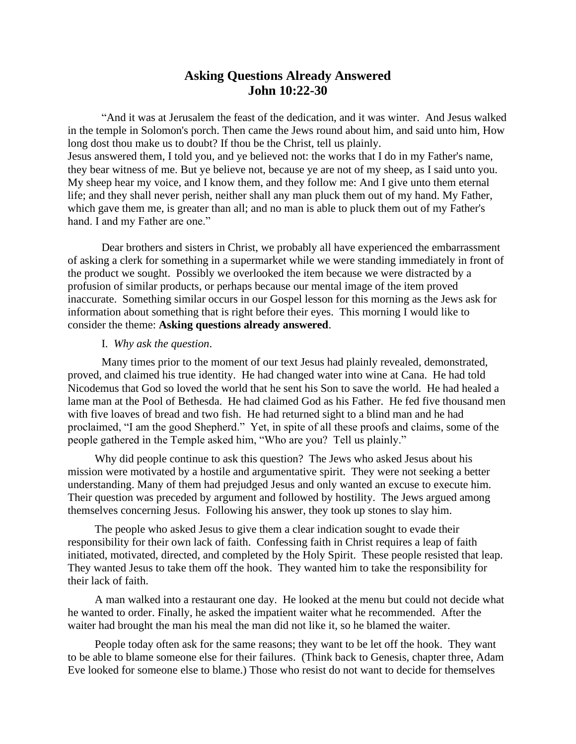## **Asking Questions Already Answered John 10:22-30**

"And it was at Jerusalem the feast of the dedication, and it was winter. And Jesus walked in the temple in Solomon's porch. Then came the Jews round about him, and said unto him, How long dost thou make us to doubt? If thou be the Christ, tell us plainly. Jesus answered them, I told you, and ye believed not: the works that I do in my Father's name, they bear witness of me. But ye believe not, because ye are not of my sheep, as I said unto you. My sheep hear my voice, and I know them, and they follow me: And I give unto them eternal life; and they shall never perish, neither shall any man pluck them out of my hand. My Father, which gave them me, is greater than all; and no man is able to pluck them out of my Father's hand. I and my Father are one."

Dear brothers and sisters in Christ, we probably all have experienced the embarrassment of asking a clerk for something in a supermarket while we were standing immediately in front of the product we sought. Possibly we overlooked the item because we were distracted by a profusion of similar products, or perhaps because our mental image of the item proved inaccurate. Something similar occurs in our Gospel lesson for this morning as the Jews ask for information about something that is right before their eyes. This morning I would like to consider the theme: **Asking questions already answered**.

## I. *Why ask the question*.

Many times prior to the moment of our text Jesus had plainly revealed, demonstrated, proved, and claimed his true identity. He had changed water into wine at Cana. He had told Nicodemus that God so loved the world that he sent his Son to save the world. He had healed a lame man at the Pool of Bethesda. He had claimed God as his Father. He fed five thousand men with five loaves of bread and two fish. He had returned sight to a blind man and he had proclaimed, "I am the good Shepherd." Yet, in spite of all these proofs and claims, some of the people gathered in the Temple asked him, "Who are you? Tell us plainly."

Why did people continue to ask this question? The Jews who asked Jesus about his mission were motivated by a hostile and argumentative spirit. They were not seeking a better understanding. Many of them had prejudged Jesus and only wanted an excuse to execute him. Their question was preceded by argument and followed by hostility. The Jews argued among themselves concerning Jesus. Following his answer, they took up stones to slay him.

The people who asked Jesus to give them a clear indication sought to evade their responsibility for their own lack of faith. Confessing faith in Christ requires a leap of faith initiated, motivated, directed, and completed by the Holy Spirit. These people resisted that leap. They wanted Jesus to take them off the hook. They wanted him to take the responsibility for their lack of faith.

A man walked into a restaurant one day. He looked at the menu but could not decide what he wanted to order. Finally, he asked the impatient waiter what he recommended. After the waiter had brought the man his meal the man did not like it, so he blamed the waiter.

People today often ask for the same reasons; they want to be let off the hook. They want to be able to blame someone else for their failures. (Think back to Genesis, chapter three, Adam Eve looked for someone else to blame.) Those who resist do not want to decide for themselves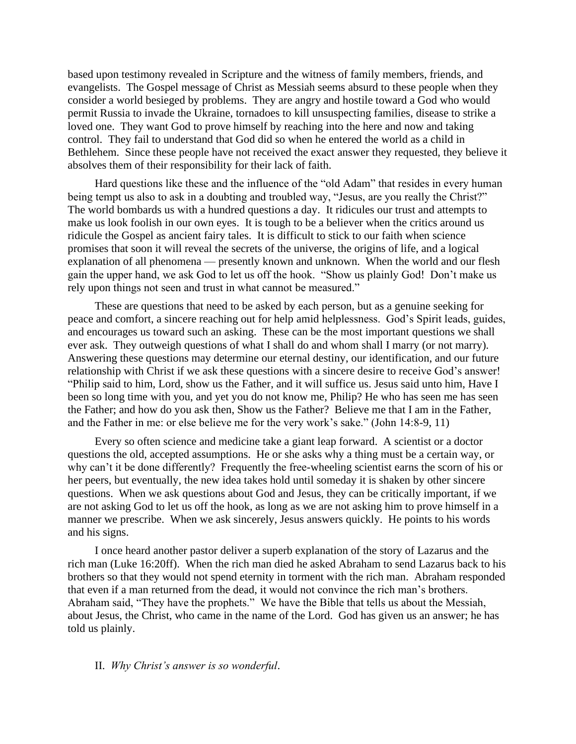based upon testimony revealed in Scripture and the witness of family members, friends, and evangelists. The Gospel message of Christ as Messiah seems absurd to these people when they consider a world besieged by problems. They are angry and hostile toward a God who would permit Russia to invade the Ukraine, tornadoes to kill unsuspecting families, disease to strike a loved one. They want God to prove himself by reaching into the here and now and taking control. They fail to understand that God did so when he entered the world as a child in Bethlehem. Since these people have not received the exact answer they requested, they believe it absolves them of their responsibility for their lack of faith.

Hard questions like these and the influence of the "old Adam" that resides in every human being tempt us also to ask in a doubting and troubled way, "Jesus, are you really the Christ?" The world bombards us with a hundred questions a day. It ridicules our trust and attempts to make us look foolish in our own eyes. It is tough to be a believer when the critics around us ridicule the Gospel as ancient fairy tales. It is difficult to stick to our faith when science promises that soon it will reveal the secrets of the universe, the origins of life, and a logical explanation of all phenomena — presently known and unknown. When the world and our flesh gain the upper hand, we ask God to let us off the hook. "Show us plainly God! Don't make us rely upon things not seen and trust in what cannot be measured."

These are questions that need to be asked by each person, but as a genuine seeking for peace and comfort, a sincere reaching out for help amid helplessness. God's Spirit leads, guides, and encourages us toward such an asking. These can be the most important questions we shall ever ask. They outweigh questions of what I shall do and whom shall I marry (or not marry). Answering these questions may determine our eternal destiny, our identification, and our future relationship with Christ if we ask these questions with a sincere desire to receive God's answer! "Philip said to him, Lord, show us the Father, and it will suffice us. Jesus said unto him, Have I been so long time with you, and yet you do not know me, Philip? He who has seen me has seen the Father; and how do you ask then, Show us the Father? Believe me that I am in the Father, and the Father in me: or else believe me for the very work's sake." (John 14:8-9, 11)

Every so often science and medicine take a giant leap forward. A scientist or a doctor questions the old, accepted assumptions. He or she asks why a thing must be a certain way, or why can't it be done differently? Frequently the free-wheeling scientist earns the scorn of his or her peers, but eventually, the new idea takes hold until someday it is shaken by other sincere questions. When we ask questions about God and Jesus, they can be critically important, if we are not asking God to let us off the hook, as long as we are not asking him to prove himself in a manner we prescribe. When we ask sincerely, Jesus answers quickly. He points to his words and his signs.

I once heard another pastor deliver a superb explanation of the story of Lazarus and the rich man (Luke 16:20ff). When the rich man died he asked Abraham to send Lazarus back to his brothers so that they would not spend eternity in torment with the rich man. Abraham responded that even if a man returned from the dead, it would not convince the rich man's brothers. Abraham said, "They have the prophets." We have the Bible that tells us about the Messiah, about Jesus, the Christ, who came in the name of the Lord. God has given us an answer; he has told us plainly.

## II. *Why Christ's answer is so wonderful*.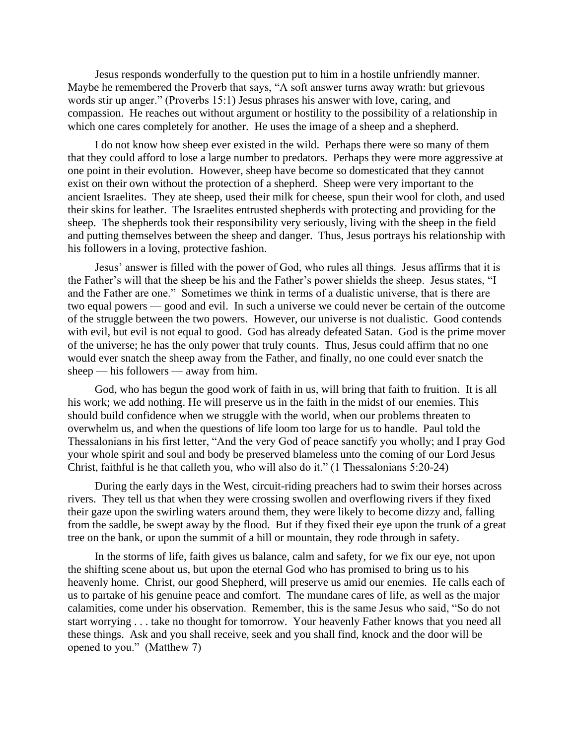Jesus responds wonderfully to the question put to him in a hostile unfriendly manner. Maybe he remembered the Proverb that says, "A soft answer turns away wrath: but grievous words stir up anger." (Proverbs 15:1) Jesus phrases his answer with love, caring, and compassion. He reaches out without argument or hostility to the possibility of a relationship in which one cares completely for another. He uses the image of a sheep and a shepherd.

I do not know how sheep ever existed in the wild. Perhaps there were so many of them that they could afford to lose a large number to predators. Perhaps they were more aggressive at one point in their evolution. However, sheep have become so domesticated that they cannot exist on their own without the protection of a shepherd. Sheep were very important to the ancient Israelites. They ate sheep, used their milk for cheese, spun their wool for cloth, and used their skins for leather. The Israelites entrusted shepherds with protecting and providing for the sheep. The shepherds took their responsibility very seriously, living with the sheep in the field and putting themselves between the sheep and danger. Thus, Jesus portrays his relationship with his followers in a loving, protective fashion.

Jesus' answer is filled with the power of God, who rules all things. Jesus affirms that it is the Father's will that the sheep be his and the Father's power shields the sheep. Jesus states, "I and the Father are one." Sometimes we think in terms of a dualistic universe, that is there are two equal powers — good and evil. In such a universe we could never be certain of the outcome of the struggle between the two powers. However, our universe is not dualistic. Good contends with evil, but evil is not equal to good. God has already defeated Satan. God is the prime mover of the universe; he has the only power that truly counts. Thus, Jesus could affirm that no one would ever snatch the sheep away from the Father, and finally, no one could ever snatch the sheep — his followers — away from him.

God, who has begun the good work of faith in us, will bring that faith to fruition. It is all his work; we add nothing. He will preserve us in the faith in the midst of our enemies. This should build confidence when we struggle with the world, when our problems threaten to overwhelm us, and when the questions of life loom too large for us to handle. Paul told the Thessalonians in his first letter, "And the very God of peace sanctify you wholly; and I pray God your whole spirit and soul and body be preserved blameless unto the coming of our Lord Jesus Christ, faithful is he that calleth you, who will also do it." (1 Thessalonians 5:20-24)

During the early days in the West, circuit-riding preachers had to swim their horses across rivers. They tell us that when they were crossing swollen and overflowing rivers if they fixed their gaze upon the swirling waters around them, they were likely to become dizzy and, falling from the saddle, be swept away by the flood. But if they fixed their eye upon the trunk of a great tree on the bank, or upon the summit of a hill or mountain, they rode through in safety.

In the storms of life, faith gives us balance, calm and safety, for we fix our eye, not upon the shifting scene about us, but upon the eternal God who has promised to bring us to his heavenly home. Christ, our good Shepherd, will preserve us amid our enemies. He calls each of us to partake of his genuine peace and comfort. The mundane cares of life, as well as the major calamities, come under his observation. Remember, this is the same Jesus who said, "So do not start worrying . . . take no thought for tomorrow. Your heavenly Father knows that you need all these things. Ask and you shall receive, seek and you shall find, knock and the door will be opened to you." (Matthew 7)